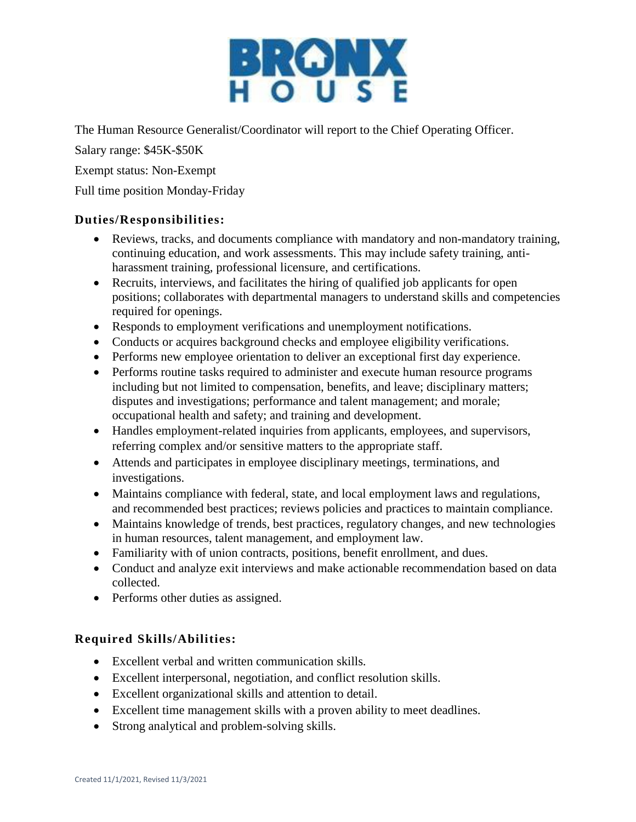

The Human Resource Generalist/Coordinator will report to the Chief Operating Officer.

Salary range: \$45K-\$50K

Exempt status: Non-Exempt

Full time position Monday-Friday

## **Duties/Responsibilities:**

- Reviews, tracks, and documents compliance with mandatory and non-mandatory training, continuing education, and work assessments. This may include safety training, antiharassment training, professional licensure, and certifications.
- Recruits, interviews, and facilitates the hiring of qualified job applicants for open positions; collaborates with departmental managers to understand skills and competencies required for openings.
- Responds to employment verifications and unemployment notifications.
- Conducts or acquires background checks and employee eligibility verifications.
- Performs new employee orientation to deliver an exceptional first day experience.
- Performs routine tasks required to administer and execute human resource programs including but not limited to compensation, benefits, and leave; disciplinary matters; disputes and investigations; performance and talent management; and morale; occupational health and safety; and training and development.
- Handles employment-related inquiries from applicants, employees, and supervisors, referring complex and/or sensitive matters to the appropriate staff.
- Attends and participates in employee disciplinary meetings, terminations, and investigations.
- Maintains compliance with federal, state, and local employment laws and regulations, and recommended best practices; reviews policies and practices to maintain compliance.
- Maintains knowledge of trends, best practices, regulatory changes, and new technologies in human resources, talent management, and employment law.
- Familiarity with of union contracts, positions, benefit enrollment, and dues.
- Conduct and analyze exit interviews and make actionable recommendation based on data collected.
- Performs other duties as assigned.

## **Required Skills/Abilities:**

- Excellent verbal and written communication skills.
- Excellent interpersonal, negotiation, and conflict resolution skills.
- Excellent organizational skills and attention to detail.
- Excellent time management skills with a proven ability to meet deadlines.
- Strong analytical and problem-solving skills.